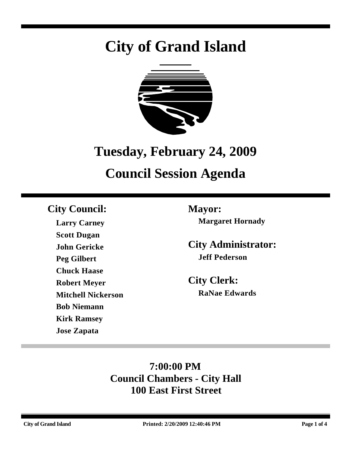# **City of Grand Island**



## **Tuesday, February 24, 2009**

# **Council Session Agenda**

### **City Council: Mayor:**

**Larry Carney Scott Dugan John Gericke Peg Gilbert Chuck Haase Robert Meyer Mitchell Nickerson Bob Niemann Kirk Ramsey Jose Zapata**

**Margaret Hornady**

**City Administrator: Jeff Pederson**

**City Clerk: RaNae Edwards**

### **7:00:00 PM Council Chambers - City Hall 100 East First Street**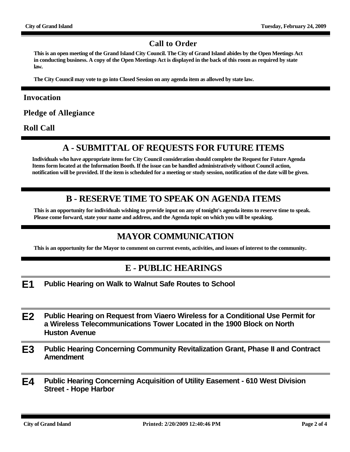#### **Call to Order**

**This is an open meeting of the Grand Island City Council. The City of Grand Island abides by the Open Meetings Act in conducting business. A copy of the Open Meetings Act is displayed in the back of this room as required by state law.**

**The City Council may vote to go into Closed Session on any agenda item as allowed by state law.**

#### **Invocation**

**Pledge of Allegiance**

**Roll Call**

#### **A - SUBMITTAL OF REQUESTS FOR FUTURE ITEMS**

**Individuals who have appropriate items for City Council consideration should complete the Request for Future Agenda Items form located at the Information Booth. If the issue can be handled administratively without Council action, notification will be provided. If the item is scheduled for a meeting or study session, notification of the date will be given.**

#### **B - RESERVE TIME TO SPEAK ON AGENDA ITEMS**

**This is an opportunity for individuals wishing to provide input on any of tonight's agenda items to reserve time to speak. Please come forward, state your name and address, and the Agenda topic on which you will be speaking.**

#### **MAYOR COMMUNICATION**

**This is an opportunity for the Mayor to comment on current events, activities, and issues of interest to the community.**

#### **E - PUBLIC HEARINGS**

- **E1 Public Hearing on Walk to Walnut Safe Routes to School**
- **E2 Public Hearing on Request from Viaero Wireless for a Conditional Use Permit for a Wireless Telecommunications Tower Located in the 1900 Block on North Huston Avenue**
- **E3 Public Hearing Concerning Community Revitalization Grant, Phase II and Contract Amendment**
- **E4 Public Hearing Concerning Acquisition of Utility Easement 610 West Division Street - Hope Harbor**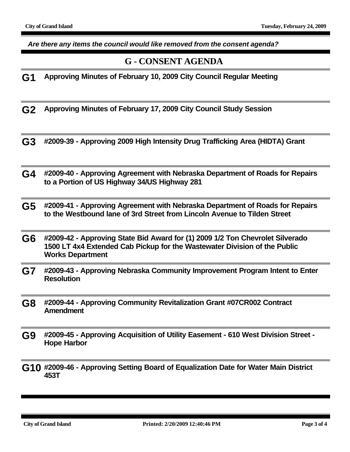*Are there any items the council would like removed from the consent agenda?*

#### **G - CONSENT AGENDA**

**G1 Approving Minutes of February 10, 2009 City Council Regular Meeting**

**G2 Approving Minutes of February 17, 2009 City Council Study Session**

- **G3 #2009-39 Approving 2009 High Intensity Drug Trafficking Area (HIDTA) Grant**
- **G4 #2009-40 Approving Agreement with Nebraska Department of Roads for Repairs to a Portion of US Highway 34/US Highway 281**
- **G5 #2009-41 Approving Agreement with Nebraska Department of Roads for Repairs to the Westbound lane of 3rd Street from Lincoln Avenue to Tilden Street**
- **G6 #2009-42 Approving State Bid Award for (1) 2009 1/2 Ton Chevrolet Silverado 1500 LT 4x4 Extended Cab Pickup for the Wastewater Division of the Public Works Department**
- **G7 #2009-43 Approving Nebraska Community Improvement Program Intent to Enter Resolution**
- **G8 #2009-44 Approving Community Revitalization Grant #07CR002 Contract Amendment**
- **G9 #2009-45 Approving Acquisition of Utility Easement 610 West Division Street Hope Harbor**
- **G10 #2009-46 Approving Setting Board of Equalization Date for Water Main District 453T**